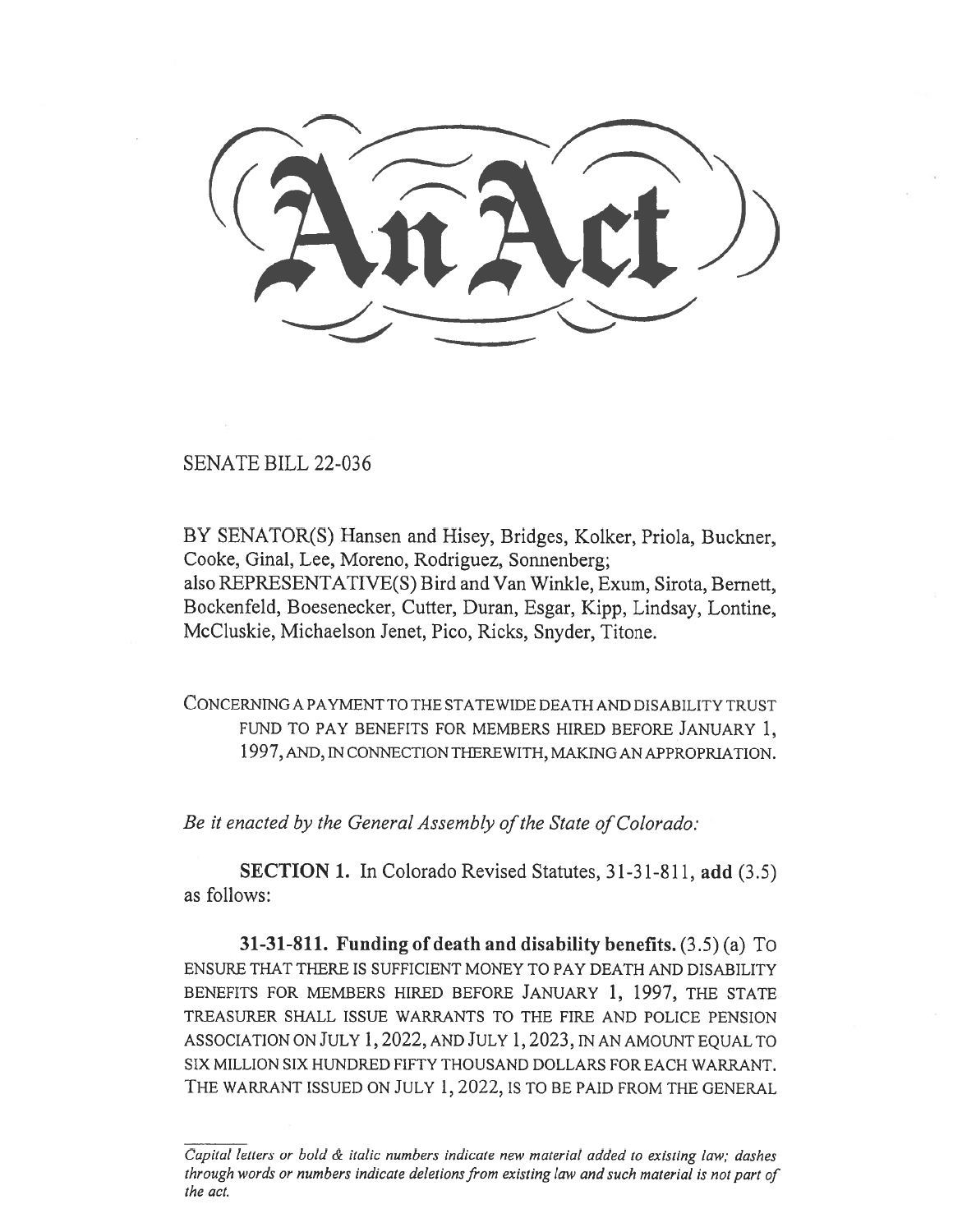SENATE BILL 22-036

BY SENATOR(S) Hansen and Hisey, Bridges, Kolker, Priola, Buckner, Cooke, Ginal, Lee, Moreno, Rodriguez, Sonnenberg; also REPRESENTATIVE(S) Bird and Van Winkle, Exum, Sirota, Bernett, Bockenfeld, Boesenecker, Cutter, Duran, Esgar, Kipp, Lindsay, Lontine, McCluskie, Michaelson Jenet, Pico, Ricks, Snyder, Titone.

CONCERNING A PAYMENT TO THE STATEWIDE DEATH AND DISABILITY TRUST FUND TO PAY BENEFITS FOR MEMBERS HIRED BEFORE JANUARY 1, 1997, AND, IN CONNECTION THEREWITH, MAKING AN APPROPRIATION.

Be it enacted by the General Assembly of the State of Colorado:

SECTION 1. In Colorado Revised Statutes, 31-31-811, add (3.5) as follows:

31-31-811. Funding of death and disability benefits. (3.5) (a) To ENSURE THAT THERE IS SUFFICIENT MONEY TO PAY DEATH AND DISABILITY BENEFITS FOR MEMBERS HIRED BEFORE JANUARY 1, 1997, THE STATE TREASURER SHALL ISSUE WARRANTS TO THE FIRE AND POLICE PENSION ASSOCIATION ON JULY 1, 2022, AND JULY 1, 2023, IN AN AMOUNT EQUAL TO SIX MILLION SIX HUNDRED FIFTY THOUSAND DOLLARS FOR EACH WARRANT. THE WARRANT ISSUED ON JULY 1, 2022, IS TO BE PAID FROM THE GENERAL

Capital letters or bold & italic numbers indicate new material added to existing law; dashes through words or numbers indicate deletions from existing law and such material is not part of the act.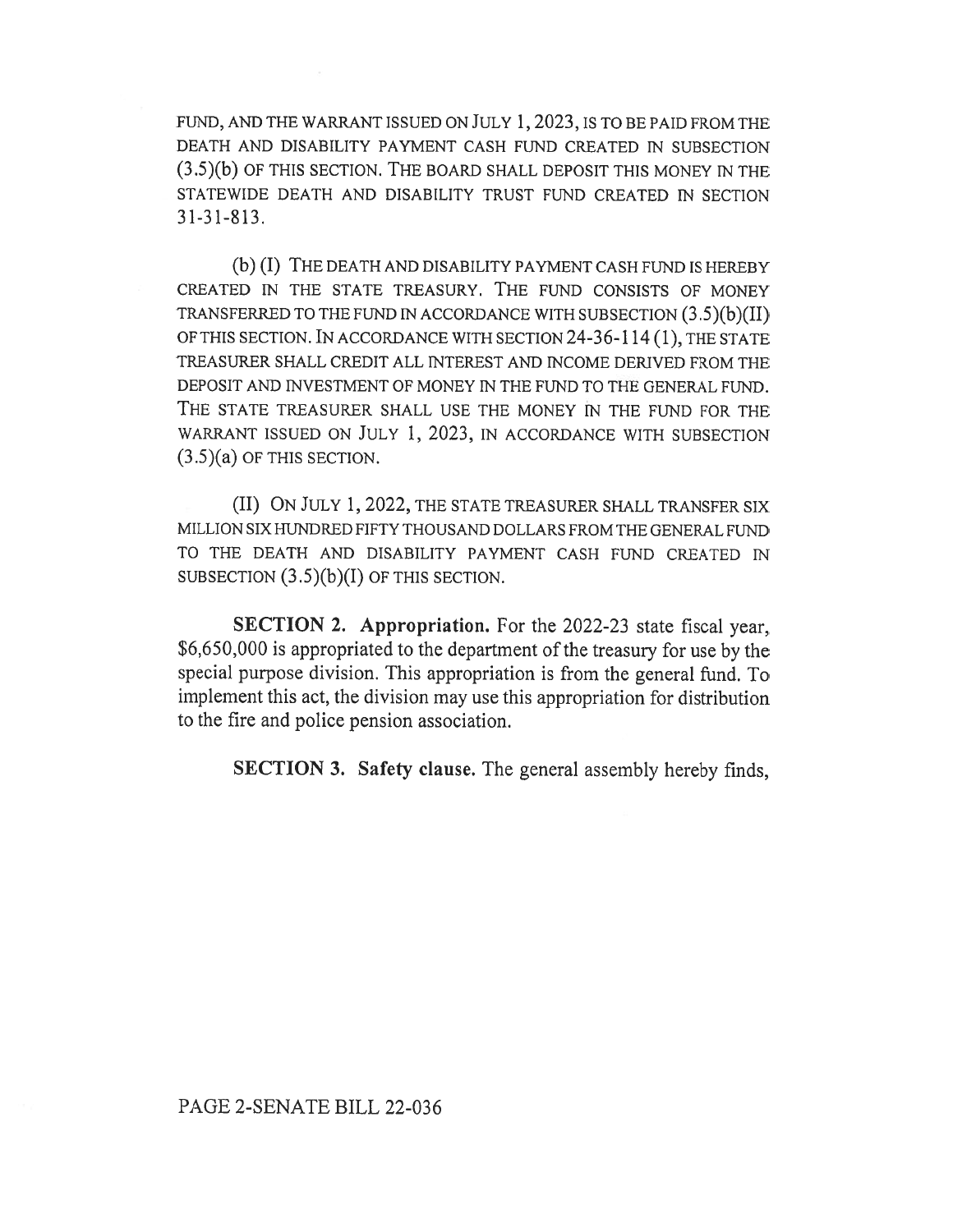FUND, AND THE WARRANT ISSUED ON JULY 1, 2023, IS TO BE PAID FROM THE DEATH AND DISABILITY PAYMENT CASH FUND CREATED IN SUBSECTION (3.5)(b) OF THIS SECTION. THE BOARD SHALL DEPOSIT THIS MONEY IN THE STATEWIDE DEATH AND DISABILITY TRUST FUND CREATED IN SECTION 31-31-813.

(b) (I) THE DEATH AND DISABILITY PAYMENT CASH FUND IS HEREBY CREATED IN THE STATE TREASURY. THE FUND CONSISTS OF MONEY TRANSFERRED TO THE FUND IN ACCORDANCE WITH SUBSECTION (3 .5)(b)(II) OF THIS SECTION. IN ACCORDANCE WITH SECTION 24-36-114 (1), THE STATE TREASURER SHALL CREDIT ALL INTEREST AND INCOME DERIVED FROM THE DEPOSIT AND INVESTMENT OF MONEY IN THE FUND TO THE GENERAL FUND. THE STATE TREASURER SHALL USE THE MONEY IN THE FUND FOR THE WARRANT ISSUED ON JULY 1, 2023, IN ACCORDANCE WITH SUBSECTION  $(3.5)(a)$  OF THIS SECTION.

(II) ON JULY 1, 2022, THE STATE TREASURER SHALL TRANSFER SIX MILLION SIX HUNDRED FIFTY THOUSAND DOLLARS FROM THE GENERAL FUND TO THE DEATH AND DISABILITY PAYMENT CASH FUND CREATED IN SUBSECTION  $(3.5)(b)(I)$  OF THIS SECTION.

SECTION 2. Appropriation. For the 2022-23 state fiscal year, \$6,650,000 is appropriated to the department of the treasury for use by the special purpose division. This appropriation is from the general fund. To implement this act, the division may use this appropriation for distribution to the fire and police pension association.

SECTION 3. Safety clause. The general assembly hereby finds,